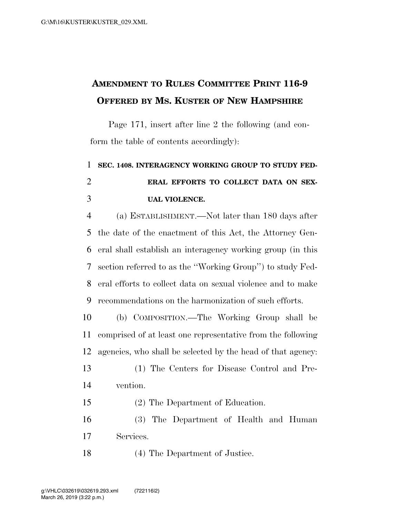## **AMENDMENT TO RULES COMMITTEE PRINT 116-9 OFFERED BY MS. KUSTER OF NEW HAMPSHIRE**

Page 171, insert after line 2 the following (and conform the table of contents accordingly):

 **SEC. 1408. INTERAGENCY WORKING GROUP TO STUDY FED- ERAL EFFORTS TO COLLECT DATA ON SEX-UAL VIOLENCE.** 

 (a) ESTABLISHMENT.—Not later than 180 days after the date of the enactment of this Act, the Attorney Gen- eral shall establish an interagency working group (in this section referred to as the ''Working Group'') to study Fed- eral efforts to collect data on sexual violence and to make recommendations on the harmonization of such efforts.

 (b) COMPOSITION.—The Working Group shall be comprised of at least one representative from the following agencies, who shall be selected by the head of that agency:

 (1) The Centers for Disease Control and Pre-vention.

(2) The Department of Education.

 (3) The Department of Health and Human Services.

(4) The Department of Justice.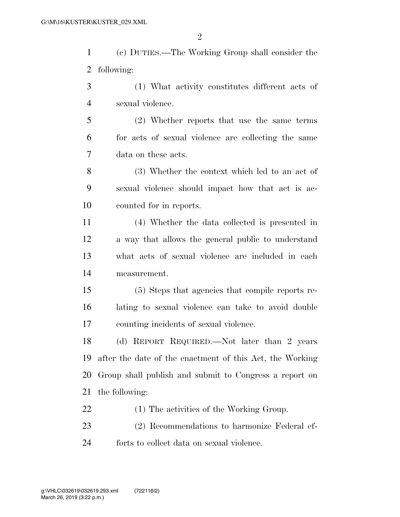(c) DUTIES.—The Working Group shall consider the following:

 (1) What activity constitutes different acts of sexual violence.

 (2) Whether reports that use the same terms for acts of sexual violence are collecting the same data on these acts.

 (3) Whether the context which led to an act of sexual violence should impact how that act is ac-counted for in reports.

 (4) Whether the data collected is presented in a way that allows the general public to understand what acts of sexual violence are included in each measurement.

 (5) Steps that agencies that compile reports re- lating to sexual violence can take to avoid double counting incidents of sexual violence.

 (d) REPORT REQUIRED.—Not later than 2 years after the date of the enactment of this Act, the Working Group shall publish and submit to Congress a report on the following:

(1) The activities of the Working Group.

 (2) Recommendations to harmonize Federal ef-forts to collect data on sexual violence.